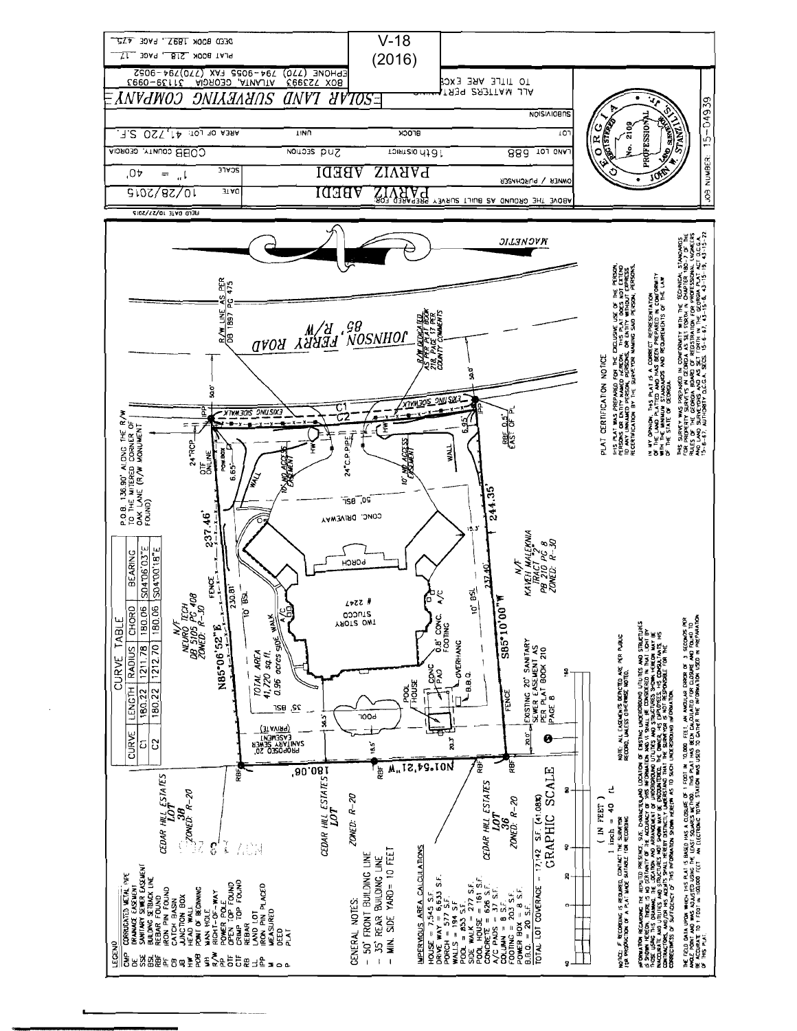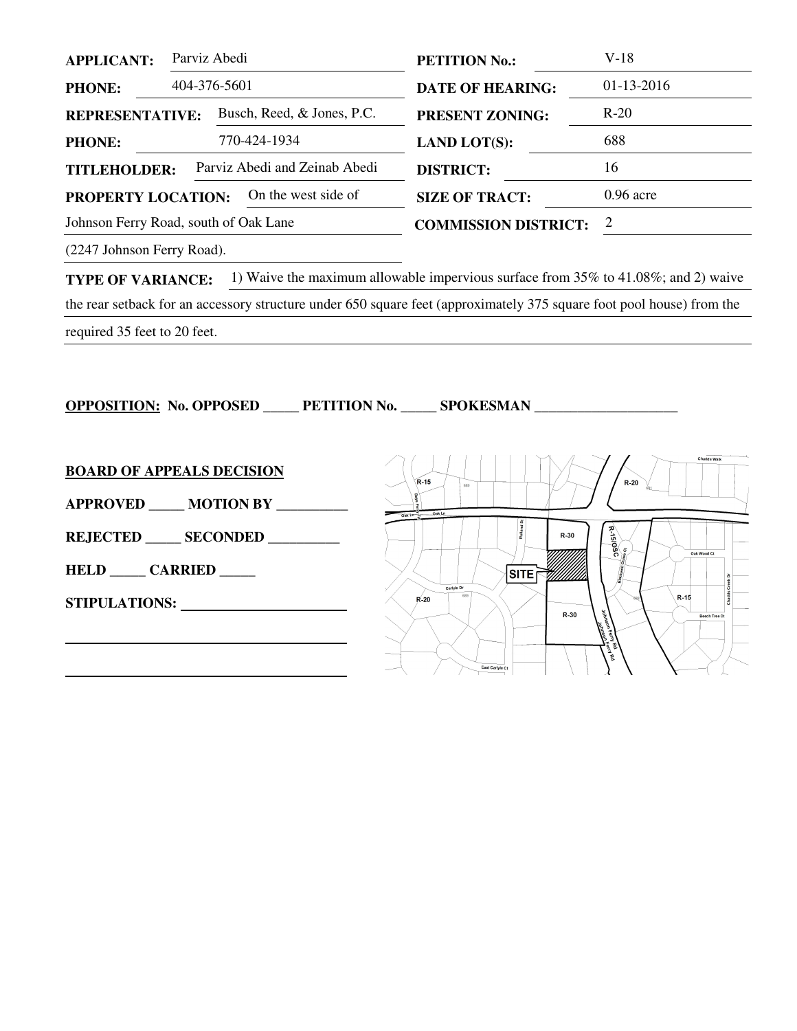| <b>APPLICANT:</b>                                    | Parviz Abedi |                             | <b>PETITION No.:</b>    | $V-18$       |
|------------------------------------------------------|--------------|-----------------------------|-------------------------|--------------|
| <b>PHONE:</b>                                        | 404-376-5601 |                             | <b>DATE OF HEARING:</b> | $01-13-2016$ |
| Busch, Reed, & Jones, P.C.<br><b>REPRESENTATIVE:</b> |              | <b>PRESENT ZONING:</b>      | $R-20$                  |              |
| <b>PHONE:</b>                                        |              | 770-424-1934                | <b>LAND LOT(S):</b>     | 688          |
| Parviz Abedi and Zeinab Abedi<br><b>TITLEHOLDER:</b> |              |                             | <b>DISTRICT:</b>        | 16           |
| On the west side of<br><b>PROPERTY LOCATION:</b>     |              |                             | <b>SIZE OF TRACT:</b>   | $0.96$ acre  |
| Johnson Ferry Road, south of Oak Lane                |              | <b>COMMISSION DISTRICT:</b> | 2                       |              |
|                                                      |              |                             |                         |              |

(2247 Johnson Ferry Road).

**TYPE OF VARIANCE:** 1) Waive the maximum allowable impervious surface from 35% to 41.08%; and 2) waive the rear setback for an accessory structure under 650 square feet (approximately 375 square foot pool house) from the required 35 feet to 20 feet.

**OPPOSITION: No. OPPOSED \_\_\_\_\_ PETITION No. \_\_\_\_\_ SPOKESMAN \_\_\_\_\_\_\_\_\_\_\_\_\_\_\_\_\_\_\_\_** 

| <b>BOARD OF APPEALS DECISION</b> | <b>Chadds Walk</b><br>$R-15$<br>$R-20$<br>680      |
|----------------------------------|----------------------------------------------------|
| APPROVED _____ MOTION BY _______ | Oak Ln<br>$Oak$ $Ln$ $-1$                          |
| REJECTED SECONDED                | Solsk.<br>$R-30$<br>Oak Wood Ct                    |
| <b>HELD CARRIED</b>              | ō<br><b>SITE</b><br>,,,,,,,,,<br>Carlyle Dr        |
| <b>STIPULATIONS:</b>             | $R-15$<br>$R-20$<br>$R-30$<br><b>Beech Tree Ct</b> |
|                                  | East Carlyle Ct                                    |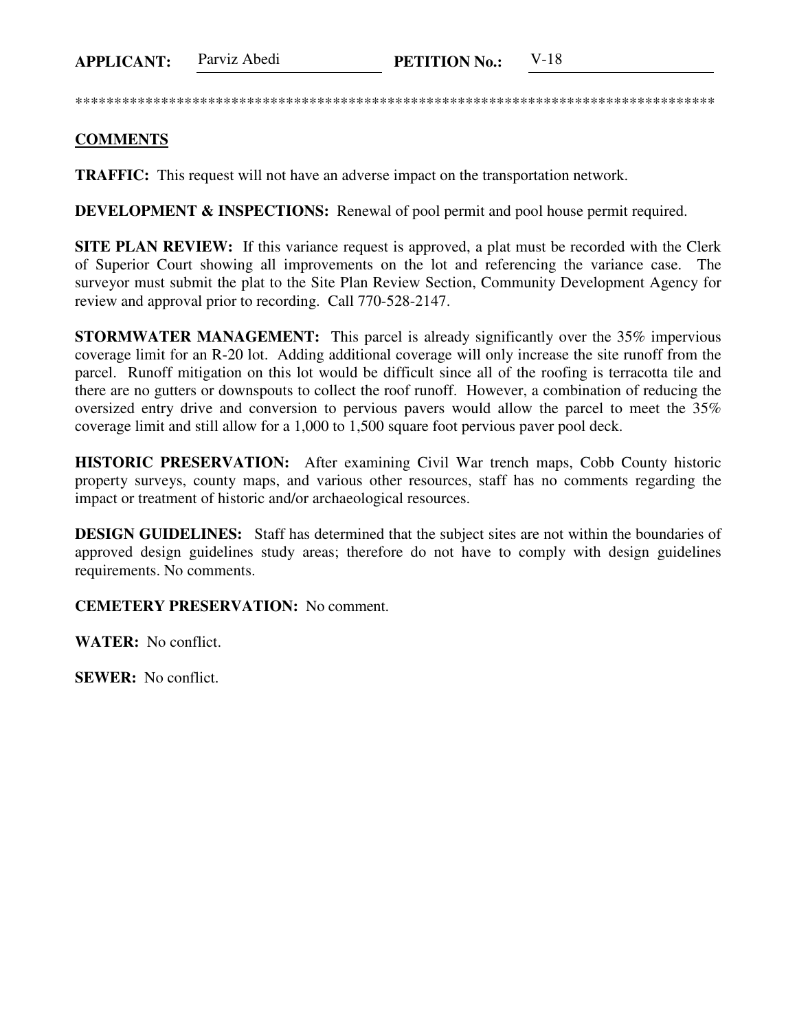**APPLICANT:** Parviz Abedi **PETITION No.:** V-18

\*\*\*\*\*\*\*\*\*\*\*\*\*\*\*\*\*\*\*\*\*\*\*\*\*\*\*\*\*\*\*\*\*\*\*\*\*\*\*\*\*\*\*\*\*\*\*\*\*\*\*\*\*\*\*\*\*\*\*\*\*\*\*\*\*\*\*\*\*\*\*\*\*\*\*\*\*\*\*\*\*\*

## **COMMENTS**

**TRAFFIC:** This request will not have an adverse impact on the transportation network.

**DEVELOPMENT & INSPECTIONS:** Renewal of pool permit and pool house permit required.

**SITE PLAN REVIEW:** If this variance request is approved, a plat must be recorded with the Clerk of Superior Court showing all improvements on the lot and referencing the variance case. The surveyor must submit the plat to the Site Plan Review Section, Community Development Agency for review and approval prior to recording. Call 770-528-2147.

**STORMWATER MANAGEMENT:** This parcel is already significantly over the 35% impervious coverage limit for an R-20 lot. Adding additional coverage will only increase the site runoff from the parcel. Runoff mitigation on this lot would be difficult since all of the roofing is terracotta tile and there are no gutters or downspouts to collect the roof runoff. However, a combination of reducing the oversized entry drive and conversion to pervious pavers would allow the parcel to meet the 35% coverage limit and still allow for a 1,000 to 1,500 square foot pervious paver pool deck.

**HISTORIC PRESERVATION:** After examining Civil War trench maps, Cobb County historic property surveys, county maps, and various other resources, staff has no comments regarding the impact or treatment of historic and/or archaeological resources.

**DESIGN GUIDELINES:** Staff has determined that the subject sites are not within the boundaries of approved design guidelines study areas; therefore do not have to comply with design guidelines requirements. No comments.

**CEMETERY PRESERVATION:** No comment.

**WATER:** No conflict.

**SEWER:** No conflict.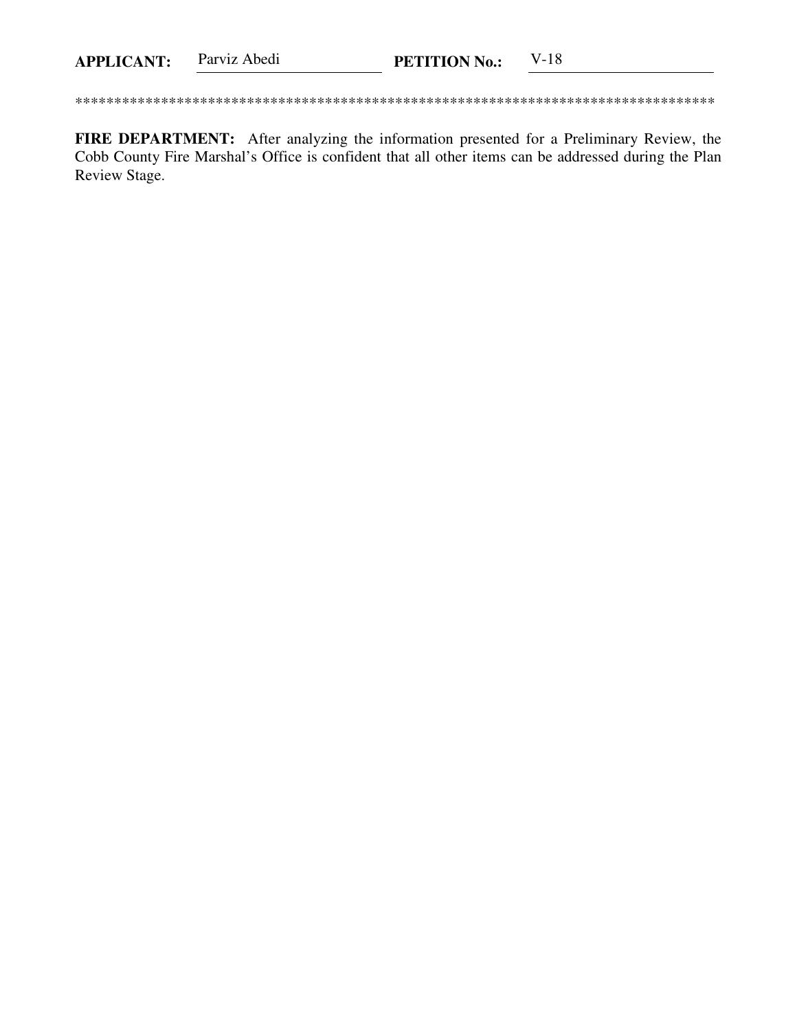FIRE DEPARTMENT: After analyzing the information presented for a Preliminary Review, the Cobb County Fire Marshal's Office is confident that all other items can be addressed during the Plan Review Stage.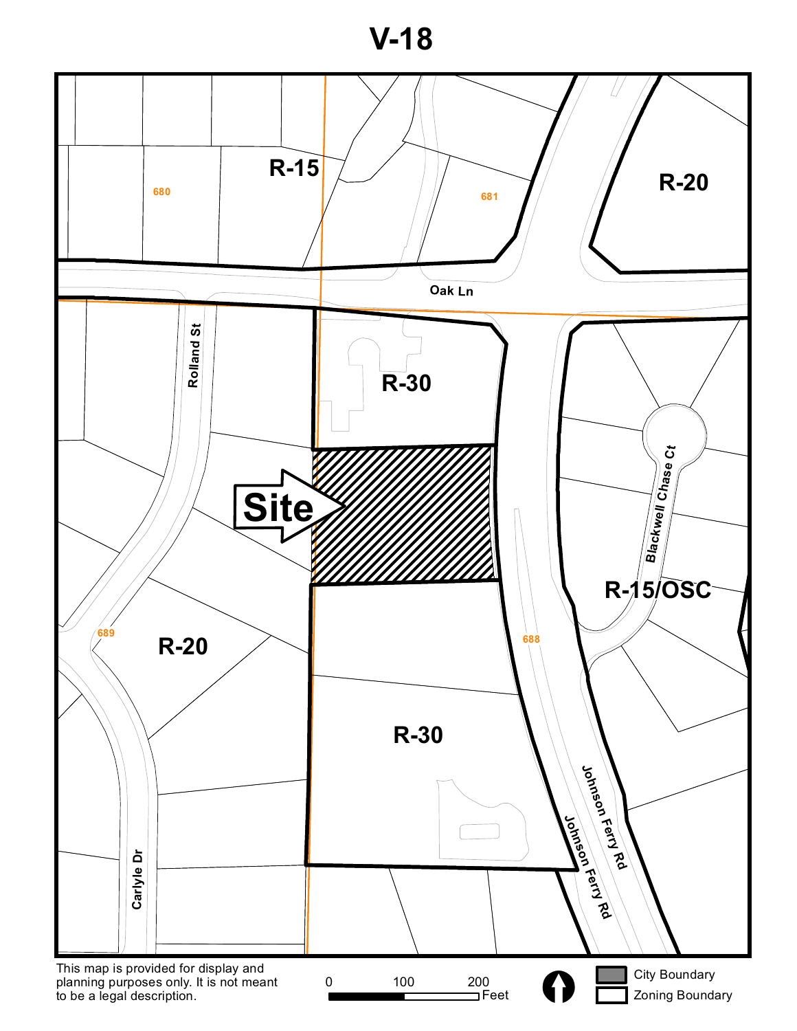**V-18**